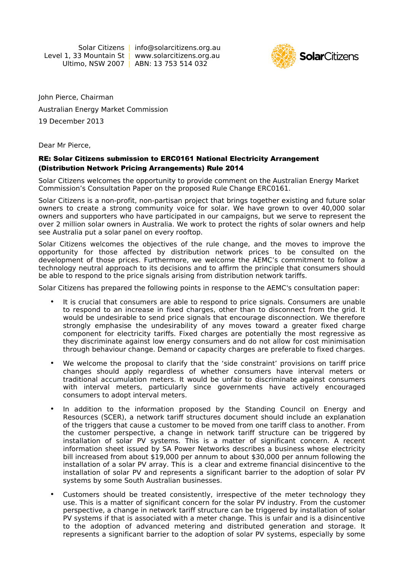Solar Citizens | info@solarcitizens.org.au Level 1, 33 Mountain St | www.solarcitizens.org.au Ultimo, NSW 2007 | ABN: 13 753 514 032



John Pierce, Chairman Australian Energy Market Commission 19 December 2013

Dear Mr Pierce,

## RE: Solar Citizens submission to ERC0161 National Electricity Arrangement (Distribution Network Pricing Arrangements) Rule 2014

Solar Citizens welcomes the opportunity to provide comment on the Australian Energy Market Commission's Consultation Paper on the proposed Rule Change ERC0161.

Solar Citizens is a non-profit, non-partisan project that brings together existing and future solar owners to create a strong community voice for solar. We have grown to over 40,000 solar owners and supporters who have participated in our campaigns, but we serve to represent the over 2 million solar owners in Australia. We work to protect the rights of solar owners and help see Australia put a solar panel on every rooftop.

Solar Citizens welcomes the objectives of the rule change, and the moves to improve the opportunity for those affected by distribution network prices to be consulted on the development of those prices. Furthermore, we welcome the AEMC's commitment to follow a technology neutral approach to its decisions and to affirm the principle that consumers should be able to respond to the price signals arising from distribution network tariffs.

Solar Citizens has prepared the following points in response to the AEMC's consultation paper:

- It is crucial that consumers are able to respond to price signals. Consumers are unable to respond to an increase in fixed charges, other than to disconnect from the grid. It would be undesirable to send price signals that encourage disconnection. We therefore strongly emphasise the undesirability of any moves toward a greater fixed charge component for electricity tariffs. Fixed charges are potentially the most regressive as they discriminate against low energy consumers and do not allow for cost minimisation through behaviour change. Demand or capacity charges are preferable to fixed charges.
- We welcome the proposal to clarify that the 'side constraint' provisions on tariff price changes should apply regardless of whether consumers have interval meters or traditional accumulation meters. It would be unfair to discriminate against consumers with interval meters, particularly since governments have actively encouraged consumers to adopt interval meters.
- In addition to the information proposed by the Standing Council on Energy and Resources (SCER), a network tariff structures document should include an explanation of the triggers that cause a customer to be moved from one tariff class to another. From the customer perspective, a change in network tariff structure can be triggered by installation of solar PV systems. This is a matter of significant concern. A recent information sheet issued by SA Power Networks describes a business whose electricity bill increased from about \$19,000 per annum to about \$30,000 per annum following the installation of a solar PV array. This is a clear and extreme financial disincentive to the installation of solar PV and represents a significant barrier to the adoption of solar PV systems by some South Australian businesses.
- Customers should be treated consistently, irrespective of the meter technology they use. This is a matter of significant concern for the solar PV industry. From the customer perspective, a change in network tariff structure can be triggered by installation of solar PV systems if that is associated with a meter change. This is unfair and is a disincentive to the adoption of advanced metering and distributed generation and storage. It represents a significant barrier to the adoption of solar PV systems, especially by some